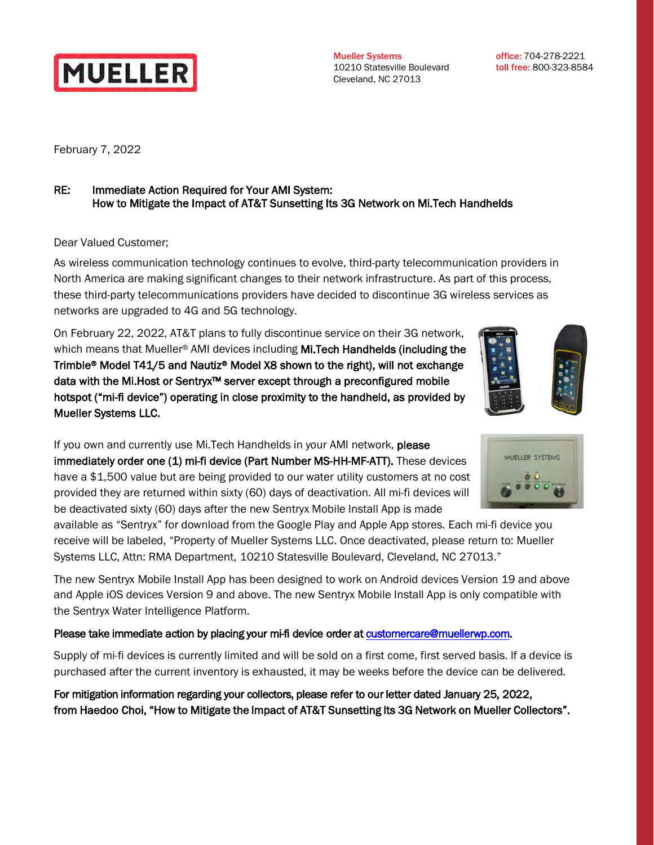

Mueller Systems 10210 Statesville Boulevard Cleveland, NC 27013

office: 704-278-2221 toll free: 800-323-8584

February 7, 2022

## RE: Immediate Action Required for Your AMI System: How to Mitigate the Impact of AT&T Sunsetting Its 3G Network on Mi.Tech Handhelds

Dear Valued Customer;

As wireless communication technology continues to evolve, third-party telecommunication providers in North America are making significant changes to their network infrastructure. As part of this process, these third-party telecommunications providers have decided to discontinue 3G wireless services as networks are upgraded to 4G and 5G technology.

On February 22, 2022, AT&T plans to fully discontinue service on their 3G network, which means that Mueller<sup>®</sup> AMI devices including **Mi.Tech Handhelds (including the** Trimble® Model T41/5 and Nautiz® Model X8 shown to the right), will not exchange data with the Mi.Host or Sentryx™ server except through a preconfigured mobile hotspot ("mi-fi device") operating in close proximity to the handheld, as provided by Mueller Systems LLC.

If you own and currently use Mi. Tech Handhelds in your AMI network, please immediately order one (1) mi-fi device (Part Number MS-HH-MF-ATT). These devices have a \$1,500 value but are being provided to our water utility customers at no cost provided they are returned within sixty (60) days of deactivation. All mi-fi devices will be deactivated sixty (60) days after the new Sentryx Mobile Install App is made

available as "Sentryx" for download from the Google Play and Apple App stores. Each mi-fi device you receive will be labeled, "Property of Mueller Systems LLC. Once deactivated, please return to: Mueller Systems LLC, Attn: RMA Department, 10210 Statesville Boulevard, Cleveland, NC 27013."

The new Sentryx Mobile Install App has been designed to work on Android devices Version 19 and above and Apple iOS devices Version 9 and above. The new Sentryx Mobile Install App is only compatible with the Sentryx Water Intelligence Platform.

## Please take immediate action by placing your mi-fi device order at customercare@muellerwp.com.

Supply of mi-fi devices is currently limited and will be sold on a first come, first served basis. If a device is purchased after the current inventory is exhausted, it may be weeks before the device can be delivered.

For mitigation information regarding your collectors, please refer to our letter dated January 25, 2022, from Haedoo Choi, "How to Mitigate the Impact of AT&T Sunsetting Its 3G Network on Mueller Collectors".